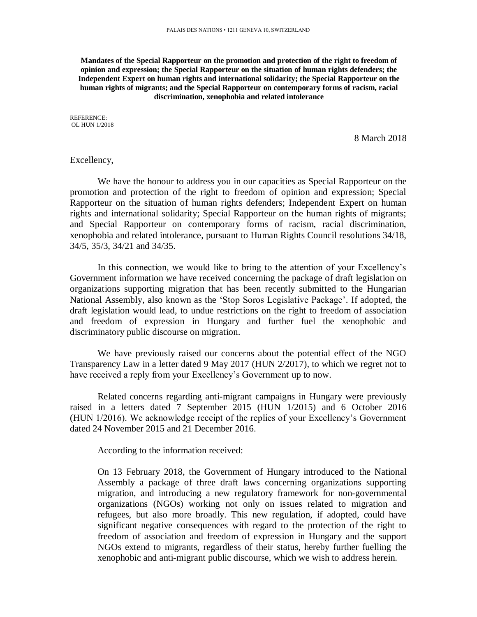**Mandates of the Special Rapporteur on the promotion and protection of the right to freedom of opinion and expression; the Special Rapporteur on the situation of human rights defenders; the Independent Expert on human rights and international solidarity; the Special Rapporteur on the human rights of migrants; and the Special Rapporteur on contemporary forms of racism, racial discrimination, xenophobia and related intolerance**

REFERENCE: OL HUN 1/2018

8 March 2018

### Excellency,

We have the honour to address you in our capacities as Special Rapporteur on the promotion and protection of the right to freedom of opinion and expression; Special Rapporteur on the situation of human rights defenders; Independent Expert on human rights and international solidarity; Special Rapporteur on the human rights of migrants; and Special Rapporteur on contemporary forms of racism, racial discrimination, xenophobia and related intolerance, pursuant to Human Rights Council resolutions 34/18, 34/5, 35/3, 34/21 and 34/35.

In this connection, we would like to bring to the attention of your Excellency's Government information we have received concerning the package of draft legislation on organizations supporting migration that has been recently submitted to the Hungarian National Assembly, also known as the 'Stop Soros Legislative Package'. If adopted, the draft legislation would lead, to undue restrictions on the right to freedom of association and freedom of expression in Hungary and further fuel the xenophobic and discriminatory public discourse on migration.

We have previously raised our concerns about the potential effect of the NGO Transparency Law in a letter dated 9 May 2017 (HUN 2/2017), to which we regret not to have received a reply from your Excellency's Government up to now.

Related concerns regarding anti-migrant campaigns in Hungary were previously raised in a letters dated 7 September 2015 (HUN 1/2015) and 6 October 2016 (HUN 1/2016). We acknowledge receipt of the replies of your Excellency's Government dated 24 November 2015 and 21 December 2016.

According to the information received:

On 13 February 2018, the Government of Hungary introduced to the National Assembly a package of three draft laws concerning organizations supporting migration, and introducing a new regulatory framework for non-governmental organizations (NGOs) working not only on issues related to migration and refugees, but also more broadly. This new regulation, if adopted, could have significant negative consequences with regard to the protection of the right to freedom of association and freedom of expression in Hungary and the support NGOs extend to migrants, regardless of their status, hereby further fuelling the xenophobic and anti-migrant public discourse, which we wish to address herein.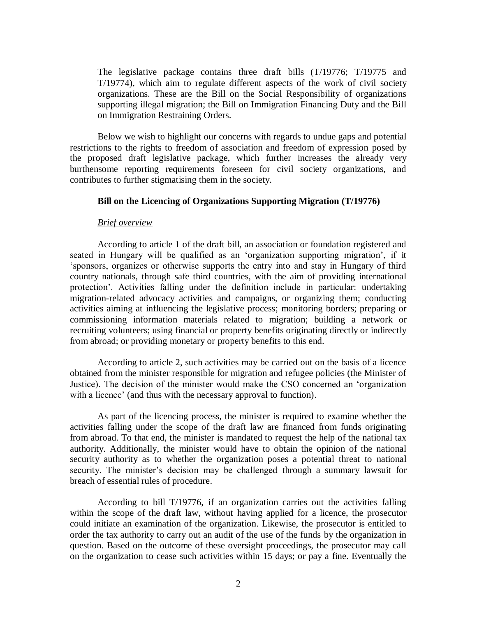The legislative package contains three draft bills (T/19776; T/19775 and T/19774), which aim to regulate different aspects of the work of civil society organizations. These are the Bill on the Social Responsibility of organizations supporting illegal migration; the Bill on Immigration Financing Duty and the Bill on Immigration Restraining Orders.

Below we wish to highlight our concerns with regards to undue gaps and potential restrictions to the rights to freedom of association and freedom of expression posed by the proposed draft legislative package, which further increases the already very burthensome reporting requirements foreseen for civil society organizations, and contributes to further stigmatising them in the society.

## **Bill on the Licencing of Organizations Supporting Migration (T/19776)**

# *Brief overview*

According to article 1 of the draft bill, an association or foundation registered and seated in Hungary will be qualified as an 'organization supporting migration', if it 'sponsors, organizes or otherwise supports the entry into and stay in Hungary of third country nationals, through safe third countries, with the aim of providing international protection'. Activities falling under the definition include in particular: undertaking migration-related advocacy activities and campaigns, or organizing them; conducting activities aiming at influencing the legislative process; monitoring borders; preparing or commissioning information materials related to migration; building a network or recruiting volunteers; using financial or property benefits originating directly or indirectly from abroad; or providing monetary or property benefits to this end.

According to article 2, such activities may be carried out on the basis of a licence obtained from the minister responsible for migration and refugee policies (the Minister of Justice). The decision of the minister would make the CSO concerned an 'organization with a licence' (and thus with the necessary approval to function).

As part of the licencing process, the minister is required to examine whether the activities falling under the scope of the draft law are financed from funds originating from abroad. To that end, the minister is mandated to request the help of the national tax authority. Additionally, the minister would have to obtain the opinion of the national security authority as to whether the organization poses a potential threat to national security. The minister's decision may be challenged through a summary lawsuit for breach of essential rules of procedure.

According to bill T/19776, if an organization carries out the activities falling within the scope of the draft law, without having applied for a licence, the prosecutor could initiate an examination of the organization. Likewise, the prosecutor is entitled to order the tax authority to carry out an audit of the use of the funds by the organization in question. Based on the outcome of these oversight proceedings, the prosecutor may call on the organization to cease such activities within 15 days; or pay a fine. Eventually the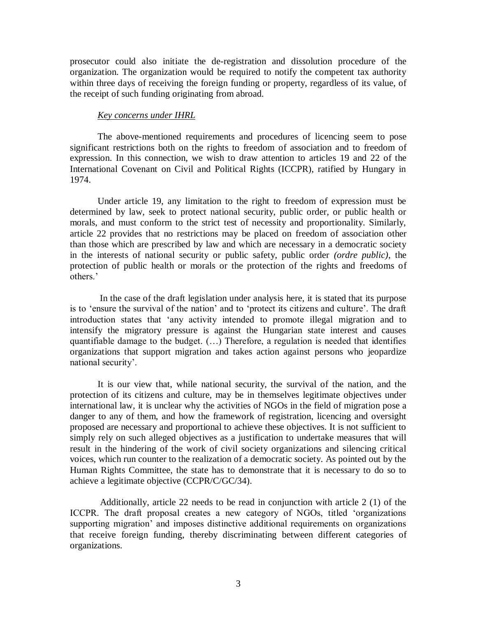prosecutor could also initiate the de-registration and dissolution procedure of the organization. The organization would be required to notify the competent tax authority within three days of receiving the foreign funding or property, regardless of its value, of the receipt of such funding originating from abroad.

### *Key concerns under IHRL*

The above-mentioned requirements and procedures of licencing seem to pose significant restrictions both on the rights to freedom of association and to freedom of expression. In this connection, we wish to draw attention to articles 19 and 22 of the International Covenant on Civil and Political Rights (ICCPR), ratified by Hungary in 1974.

Under article 19, any limitation to the right to freedom of expression must be determined by law, seek to protect national security, public order, or public health or morals, and must conform to the strict test of necessity and proportionality. Similarly, article 22 provides that no restrictions may be placed on freedom of association other than those which are prescribed by law and which are necessary in a democratic society in the interests of national security or public safety, public order *(ordre public)*, the protection of public health or morals or the protection of the rights and freedoms of others.'

In the case of the draft legislation under analysis here, it is stated that its purpose is to 'ensure the survival of the nation' and to 'protect its citizens and culture'. The draft introduction states that 'any activity intended to promote illegal migration and to intensify the migratory pressure is against the Hungarian state interest and causes quantifiable damage to the budget. (…) Therefore, a regulation is needed that identifies organizations that support migration and takes action against persons who jeopardize national security'.

It is our view that, while national security, the survival of the nation, and the protection of its citizens and culture, may be in themselves legitimate objectives under international law, it is unclear why the activities of NGOs in the field of migration pose a danger to any of them, and how the framework of registration, licencing and oversight proposed are necessary and proportional to achieve these objectives. It is not sufficient to simply rely on such alleged objectives as a justification to undertake measures that will result in the hindering of the work of civil society organizations and silencing critical voices, which run counter to the realization of a democratic society. As pointed out by the Human Rights Committee, the state has to demonstrate that it is necessary to do so to achieve a legitimate objective (CCPR/C/GC/34).

Additionally, article 22 needs to be read in conjunction with article 2 (1) of the ICCPR. The draft proposal creates a new category of NGOs, titled 'organizations supporting migration' and imposes distinctive additional requirements on organizations that receive foreign funding, thereby discriminating between different categories of organizations.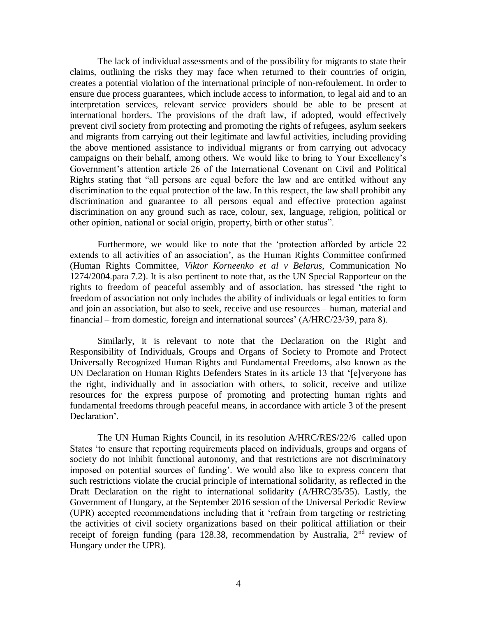The lack of individual assessments and of the possibility for migrants to state their claims, outlining the risks they may face when returned to their countries of origin, creates a potential violation of the international principle of non-refoulement. In order to ensure due process guarantees, which include access to information, to legal aid and to an interpretation services, relevant service providers should be able to be present at international borders. The provisions of the draft law, if adopted, would effectively prevent civil society from protecting and promoting the rights of refugees, asylum seekers and migrants from carrying out their legitimate and lawful activities, including providing the above mentioned assistance to individual migrants or from carrying out advocacy campaigns on their behalf, among others. We would like to bring to Your Excellency's Government's attention article 26 of the International Covenant on Civil and Political Rights stating that "all persons are equal before the law and are entitled without any discrimination to the equal protection of the law. In this respect, the law shall prohibit any discrimination and guarantee to all persons equal and effective protection against discrimination on any ground such as race, colour, sex, language, religion, political or other opinion, national or social origin, property, birth or other status".

Furthermore, we would like to note that the 'protection afforded by article 22 extends to all activities of an association', as the Human Rights Committee confirmed (Human Rights Committee, *Viktor Korneenko et al v Belarus*, Communication No 1274/2004.para 7.2). It is also pertinent to note that, as the UN Special Rapporteur on the rights to freedom of peaceful assembly and of association, has stressed 'the right to freedom of association not only includes the ability of individuals or legal entities to form and join an association, but also to seek, receive and use resources – human, material and financial – from domestic, foreign and international sources' (A/HRC/23/39, para 8).

Similarly, it is relevant to note that the Declaration on the Right and Responsibility of Individuals, Groups and Organs of Society to Promote and Protect Universally Recognized Human Rights and Fundamental Freedoms, also known as the UN Declaration on Human Rights Defenders States in its article 13 that '[e]veryone has the right, individually and in association with others, to solicit, receive and utilize resources for the express purpose of promoting and protecting human rights and fundamental freedoms through peaceful means, in accordance with article 3 of the present Declaration'.

The UN Human Rights Council, in its resolution A/HRC/RES/22/6 called upon States 'to ensure that reporting requirements placed on individuals, groups and organs of society do not inhibit functional autonomy, and that restrictions are not discriminatory imposed on potential sources of funding'. We would also like to express concern that such restrictions violate the crucial principle of international solidarity, as reflected in the Draft Declaration on the right to international solidarity (A/HRC/35/35). Lastly, the Government of Hungary, at the September 2016 session of the Universal Periodic Review (UPR) accepted recommendations including that it 'refrain from targeting or restricting the activities of civil society organizations based on their political affiliation or their receipt of foreign funding (para 128.38, recommendation by Australia,  $2<sup>nd</sup>$  review of Hungary under the UPR).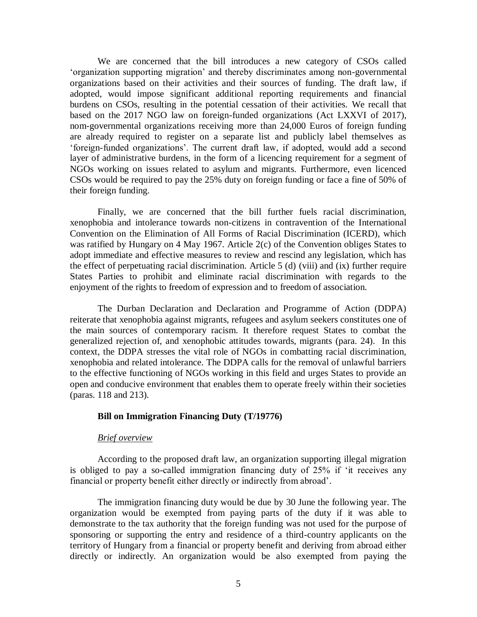We are concerned that the bill introduces a new category of CSOs called 'organization supporting migration' and thereby discriminates among non-governmental organizations based on their activities and their sources of funding. The draft law, if adopted, would impose significant additional reporting requirements and financial burdens on CSOs, resulting in the potential cessation of their activities. We recall that based on the 2017 NGO law on foreign-funded organizations (Act LXXVI of 2017), nom-governmental organizations receiving more than 24,000 Euros of foreign funding are already required to register on a separate list and publicly label themselves as 'foreign-funded organizations'. The current draft law, if adopted, would add a second layer of administrative burdens, in the form of a licencing requirement for a segment of NGOs working on issues related to asylum and migrants. Furthermore, even licenced CSOs would be required to pay the 25% duty on foreign funding or face a fine of 50% of their foreign funding.

Finally, we are concerned that the bill further fuels racial discrimination, xenophobia and intolerance towards non-citizens in contravention of the International Convention on the Elimination of All Forms of Racial Discrimination (ICERD), which was ratified by Hungary on 4 May 1967. Article 2(c) of the Convention obliges States to adopt immediate and effective measures to review and rescind any legislation, which has the effect of perpetuating racial discrimination. Article 5 (d) (viii) and (ix) further require States Parties to prohibit and eliminate racial discrimination with regards to the enjoyment of the rights to freedom of expression and to freedom of association.

The Durban Declaration and Declaration and Programme of Action (DDPA) reiterate that xenophobia against migrants, refugees and asylum seekers constitutes one of the main sources of contemporary racism. It therefore request States to combat the generalized rejection of, and xenophobic attitudes towards, migrants (para. 24). In this context, the DDPA stresses the vital role of NGOs in combatting racial discrimination, xenophobia and related intolerance. The DDPA calls for the removal of unlawful barriers to the effective functioning of NGOs working in this field and urges States to provide an open and conducive environment that enables them to operate freely within their societies (paras. 118 and 213).

### **Bill on Immigration Financing Duty (T/19776)**

# *Brief overview*

According to the proposed draft law, an organization supporting illegal migration is obliged to pay a so-called immigration financing duty of 25% if 'it receives any financial or property benefit either directly or indirectly from abroad'.

The immigration financing duty would be due by 30 June the following year. The organization would be exempted from paying parts of the duty if it was able to demonstrate to the tax authority that the foreign funding was not used for the purpose of sponsoring or supporting the entry and residence of a third-country applicants on the territory of Hungary from a financial or property benefit and deriving from abroad either directly or indirectly. An organization would be also exempted from paying the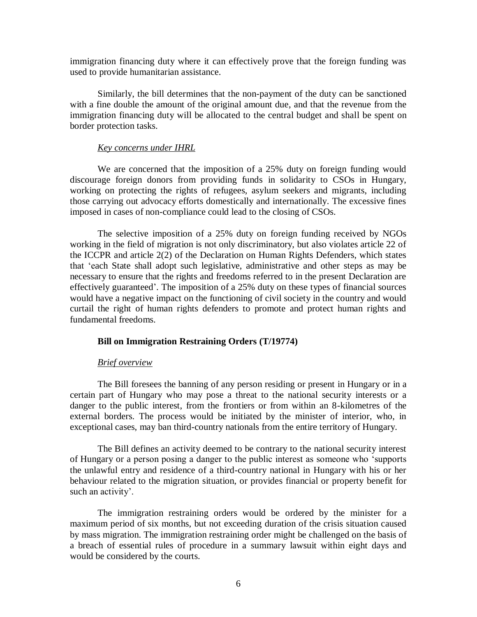immigration financing duty where it can effectively prove that the foreign funding was used to provide humanitarian assistance.

Similarly, the bill determines that the non-payment of the duty can be sanctioned with a fine double the amount of the original amount due, and that the revenue from the immigration financing duty will be allocated to the central budget and shall be spent on border protection tasks.

#### *Key concerns under IHRL*

We are concerned that the imposition of a 25% duty on foreign funding would discourage foreign donors from providing funds in solidarity to CSOs in Hungary, working on protecting the rights of refugees, asylum seekers and migrants, including those carrying out advocacy efforts domestically and internationally. The excessive fines imposed in cases of non-compliance could lead to the closing of CSOs.

The selective imposition of a 25% duty on foreign funding received by NGOs working in the field of migration is not only discriminatory, but also violates article 22 of the ICCPR and article 2(2) of the Declaration on Human Rights Defenders, which states that 'each State shall adopt such legislative, administrative and other steps as may be necessary to ensure that the rights and freedoms referred to in the present Declaration are effectively guaranteed'. The imposition of a 25% duty on these types of financial sources would have a negative impact on the functioning of civil society in the country and would curtail the right of human rights defenders to promote and protect human rights and fundamental freedoms.

### **Bill on Immigration Restraining Orders (T/19774)**

#### *Brief overview*

The Bill foresees the banning of any person residing or present in Hungary or in a certain part of Hungary who may pose a threat to the national security interests or a danger to the public interest, from the frontiers or from within an 8-kilometres of the external borders. The process would be initiated by the minister of interior, who, in exceptional cases, may ban third-country nationals from the entire territory of Hungary.

The Bill defines an activity deemed to be contrary to the national security interest of Hungary or a person posing a danger to the public interest as someone who 'supports the unlawful entry and residence of a third-country national in Hungary with his or her behaviour related to the migration situation, or provides financial or property benefit for such an activity'.

The immigration restraining orders would be ordered by the minister for a maximum period of six months, but not exceeding duration of the crisis situation caused by mass migration. The immigration restraining order might be challenged on the basis of a breach of essential rules of procedure in a summary lawsuit within eight days and would be considered by the courts.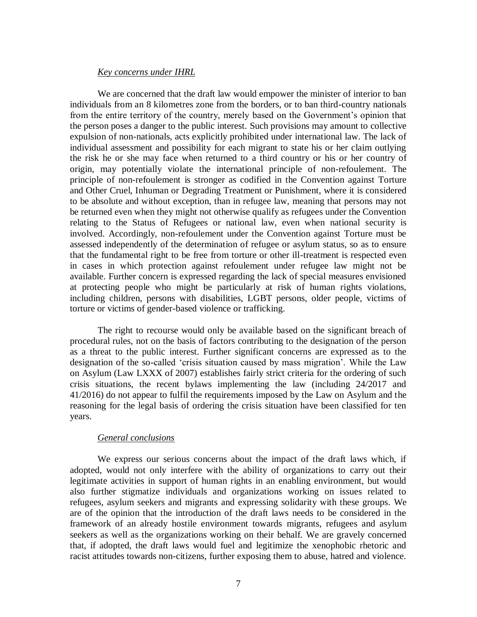# *Key concerns under IHRL*

We are concerned that the draft law would empower the minister of interior to ban individuals from an 8 kilometres zone from the borders, or to ban third-country nationals from the entire territory of the country, merely based on the Government's opinion that the person poses a danger to the public interest. Such provisions may amount to collective expulsion of non-nationals, acts explicitly prohibited under international law. The lack of individual assessment and possibility for each migrant to state his or her claim outlying the risk he or she may face when returned to a third country or his or her country of origin, may potentially violate the international principle of non-refoulement. The principle of non-refoulement is stronger as codified in the Convention against Torture and Other Cruel, Inhuman or Degrading Treatment or Punishment, where it is considered to be absolute and without exception, than in refugee law, meaning that persons may not be returned even when they might not otherwise qualify as refugees under the Convention relating to the Status of Refugees or national law, even when national security is involved. Accordingly, non-refoulement under the Convention against Torture must be assessed independently of the determination of refugee or asylum status, so as to ensure that the fundamental right to be free from torture or other ill-treatment is respected even in cases in which protection against refoulement under refugee law might not be available. Further concern is expressed regarding the lack of special measures envisioned at protecting people who might be particularly at risk of human rights violations, including children, persons with disabilities, LGBT persons, older people, victims of torture or victims of gender-based violence or trafficking.

The right to recourse would only be available based on the significant breach of procedural rules, not on the basis of factors contributing to the designation of the person as a threat to the public interest. Further significant concerns are expressed as to the designation of the so-called 'crisis situation caused by mass migration'. While the Law on Asylum (Law LXXX of 2007) establishes fairly strict criteria for the ordering of such crisis situations, the recent bylaws implementing the law (including 24/2017 and 41/2016) do not appear to fulfil the requirements imposed by the Law on Asylum and the reasoning for the legal basis of ordering the crisis situation have been classified for ten years.

# *General conclusions*

We express our serious concerns about the impact of the draft laws which, if adopted, would not only interfere with the ability of organizations to carry out their legitimate activities in support of human rights in an enabling environment, but would also further stigmatize individuals and organizations working on issues related to refugees, asylum seekers and migrants and expressing solidarity with these groups. We are of the opinion that the introduction of the draft laws needs to be considered in the framework of an already hostile environment towards migrants, refugees and asylum seekers as well as the organizations working on their behalf. We are gravely concerned that, if adopted, the draft laws would fuel and legitimize the xenophobic rhetoric and racist attitudes towards non-citizens, further exposing them to abuse, hatred and violence.